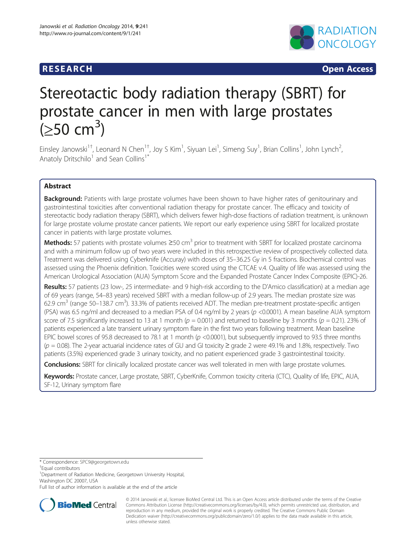# **RESEARCH RESEARCH CONSUMING ACCESS**



# Stereotactic body radiation therapy (SBRT) for prostate cancer in men with large prostates  $\sim$ (≥50 cm<sup>3</sup>)

Einsley Janowski $^{1\dagger}$ , Leonard N Chen $^{1\dagger}$ , Joy S Kim $^1$ , Siyuan Lei $^1$ , Simeng Suy $^1$ , Brian Collins $^1$ , John Lynch $^2$ , Anatoly Dritschilo<sup>1</sup> and Sean Collins<sup>1\*</sup>

# Abstract

**Background:** Patients with large prostate volumes have been shown to have higher rates of genitourinary and gastrointestinal toxicities after conventional radiation therapy for prostate cancer. The efficacy and toxicity of stereotactic body radiation therapy (SBRT), which delivers fewer high-dose fractions of radiation treatment, is unknown for large prostate volume prostate cancer patients. We report our early experience using SBRT for localized prostate cancer in patients with large prostate volumes.

Methods: 57 patients with prostate volumes ≥50 cm<sup>3</sup> prior to treatment with SBRT for localized prostate carcinoma and with a minimum follow up of two years were included in this retrospective review of prospectively collected data. Treatment was delivered using Cyberknife (Accuray) with doses of 35–36.25 Gy in 5 fractions. Biochemical control was assessed using the Phoenix definition. Toxicities were scored using the CTCAE v.4. Quality of life was assessed using the American Urological Association (AUA) Symptom Score and the Expanded Prostate Cancer Index Composite (EPIC)-26.

Results: 57 patients (23 low-, 25 intermediate- and 9 high-risk according to the D'Amico classification) at a median age of 69 years (range, 54–83 years) received SBRT with a median follow-up of 2.9 years. The median prostate size was 62.9 cm<sup>3</sup> (range 50–138.7 cm<sup>3</sup>). 33.3% of patients received ADT. The median pre-treatment prostate-specific antigen (PSA) was 6.5 ng/ml and decreased to a median PSA of 0.4 ng/ml by 2 years (p <0.0001). A mean baseline AUA symptom score of 7.5 significantly increased to 13 at 1 month ( $p = 0.001$ ) and returned to baseline by 3 months ( $p = 0.21$ ). 23% of patients experienced a late transient urinary symptom flare in the first two years following treatment. Mean baseline EPIC bowel scores of 95.8 decreased to 78.1 at 1 month  $(p$  <0.0001), but subsequently improved to 93.5 three months  $(p = 0.08)$ . The 2-year actuarial incidence rates of GU and GI toxicity  $\geq$  grade 2 were 49.1% and 1.8%, respectively. Two patients (3.5%) experienced grade 3 urinary toxicity, and no patient experienced grade 3 gastrointestinal toxicity.

**Conclusions:** SBRT for clinically localized prostate cancer was well tolerated in men with large prostate volumes.

Keywords: Prostate cancer, Large prostate, SBRT, CyberKnife, Common toxicity criteria (CTC), Quality of life, EPIC, AUA, SF-12, Urinary symptom flare

\* Correspondence: [SPC9@georgetown.edu](mailto:SPC9@georgetown.edu) †

Equal contributors

<sup>1</sup>Department of Radiation Medicine, Georgetown University Hospital, Washington DC 20007, USA

Full list of author information is available at the end of the article



© 2014 Janowski et al.; licensee BioMed Central Ltd. This is an Open Access article distributed under the terms of the Creative Commons Attribution License [\(http://creativecommons.org/licenses/by/4.0\)](http://creativecommons.org/licenses/by/4.0), which permits unrestricted use, distribution, and reproduction in any medium, provided the original work is properly credited. The Creative Commons Public Domain Dedication waiver [\(http://creativecommons.org/publicdomain/zero/1.0/](http://creativecommons.org/publicdomain/zero/1.0/)) applies to the data made available in this article, unless otherwise stated.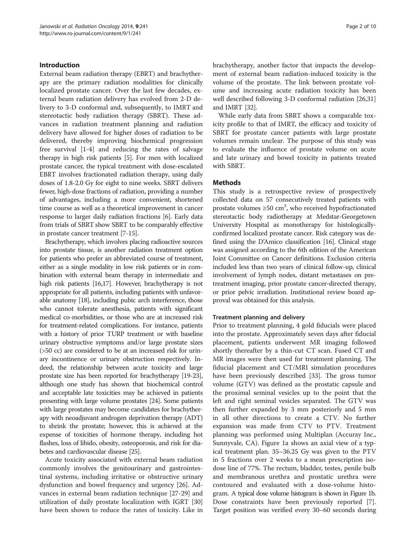## Introduction

External beam radiation therapy (EBRT) and brachytherapy are the primary radiation modalities for clinically localized prostate cancer. Over the last few decades, external beam radiation delivery has evolved from 2-D delivery to 3-D conformal and, subsequently, to IMRT and stereotactic body radiation therapy (SBRT). These advances in radiation treatment planning and radiation delivery have allowed for higher doses of radiation to be delivered, thereby improving biochemical progression free survival [[1-](#page-7-0)[4](#page-8-0)] and reducing the rates of salvage therapy in high risk patients [\[5\]](#page-8-0). For men with localized prostate cancer, the typical treatment with dose-escalated EBRT involves fractionated radiation therapy, using daily doses of 1.8-2.0 Gy for eight to nine weeks. SBRT delivers fewer, high-dose fractions of radiation, providing a number of advantages, including a more convenient, shortened time course as well as a theoretical improvement in cancer response to larger daily radiation fractions [\[6](#page-8-0)]. Early data from trials of SBRT show SBRT to be comparably effective in prostate cancer treatment [[7](#page-8-0)-[15](#page-8-0)].

Brachytherapy, which involves placing radioactive sources into prostate tissue, is another radiation treatment option for patients who prefer an abbreviated course of treatment, either as a single modality in low risk patients or in combination with external beam therapy in intermediate and high risk patients [\[16,17](#page-8-0)]. However, brachytherapy is not appropriate for all patients, including patients with unfavorable anatomy [[18\]](#page-8-0), including pubic arch interference, those who cannot tolerate anesthesia, patients with significant medical co-morbidities, or those who are at increased risk for treatment-related complications. For instance, patients with a history of prior TURP treatment or with baseline urinary obstructive symptoms and/or large prostate sizes (>50 cc) are considered to be at an increased risk for urinary incontinence or urinary obstruction respectively. Indeed, the relationship between acute toxicity and large prostate size has been reported for brachytherapy [\[19-23](#page-8-0)], although one study has shown that biochemical control and acceptable late toxicities may be achieved in patients presenting with large volume prostates [[24](#page-8-0)]. Some patients with large prostates may become candidates for brachytherapy with neoadjuvant androgen deprivation therapy (ADT) to shrink the prostate; however, this is achieved at the expense of toxicities of hormone therapy, including hot flashes, loss of libido, obesity, osteoporosis, and risk for diabetes and cardiovascular disease [[25](#page-8-0)].

Acute toxicity associated with external beam radiation commonly involves the genitourinary and gastrointestinal systems, including irritative or obstructive urinary dysfunction and bowel frequency and urgency [[26\]](#page-8-0). Advances in external beam radiation technique [[27-29](#page-8-0)] and utilization of daily prostate localization with IGRT [[30](#page-8-0)] have been shown to reduce the rates of toxicity. Like in brachytherapy, another factor that impacts the development of external beam radiation-induced toxicity is the volume of the prostate. The link between prostate volume and increasing acute radiation toxicity has been well described following 3-D conformal radiation [[26](#page-8-0),[31](#page-8-0)] and IMRT [[32](#page-8-0)].

While early data from SBRT shows a comparable toxicity profile to that of IMRT, the efficacy and toxicity of SBRT for prostate cancer patients with large prostate volumes remain unclear. The purpose of this study was to evaluate the influence of prostate volume on acute and late urinary and bowel toxicity in patients treated with SBRT.

# Methods

This study is a retrospective review of prospectively collected data on 57 consecutively treated patients with prostate volumes  $\geq 50$  cm<sup>3</sup>, who received hypofractionated stereotactic body radiotherapy at Medstar-Georgetown University Hospital as monotherapy for histologicallyconfirmed localized prostate cancer. Risk category was defined using the D'Amico classification [[16](#page-8-0)]. Clinical stage was assigned according to the 6th edition of the American Joint Committee on Cancer definitions. Exclusion criteria included less than two years of clinical follow-up, clinical involvement of lymph nodes, distant metastases on pretreatment imaging, prior prostate cancer-directed therapy, or prior pelvic irradiation. Institutional review board approval was obtained for this analysis.

#### Treatment planning and delivery

Prior to treatment planning, 4 gold fiducials were placed into the prostate. Approximately seven days after fiducial placement, patients underwent MR imaging followed shortly thereafter by a thin-cut CT scan. Fused CT and MR images were then used for treatment planning. The fiducial placement and CT/MRI simulation procedures have been previously described [[33\]](#page-8-0). The gross tumor volume (GTV) was defined as the prostatic capsule and the proximal seminal vesicles up to the point that the left and right seminal vesicles separated. The GTV was then further expanded by 3 mm posteriorly and 5 mm in all other directions to create a CTV. No further expansion was made from CTV to PTV. Treatment planning was performed using Multiplan (Accuray Inc., Sunnyvale, CA). Figure [1a](#page-2-0) shows an axial view of a typical treatment plan. 35–36.25 Gy was given to the PTV in 5 fractions over 2 weeks to a mean prescription isodose line of 77%. The rectum, bladder, testes, penile bulb and membranous urethra and prostatic urethra were contoured and evaluated with a dose-volume histogram. A typical dose volume histogram is shown in Figure [1b](#page-2-0). Dose constraints have been previously reported [\[7](#page-8-0)]. Target position was verified every 30–60 seconds during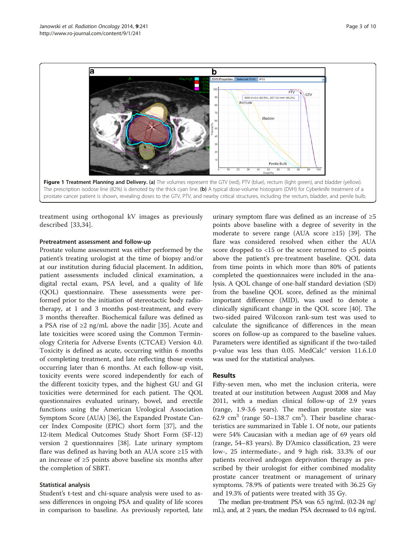<span id="page-2-0"></span>

treatment using orthogonal kV images as previously described [\[33,34](#page-8-0)].

#### Pretreatment assessment and follow-up

Prostate volume assessment was either performed by the patient's treating urologist at the time of biopsy and/or at our institution during fiducial placement. In addition, patient assessments included clinical examination, a digital rectal exam, PSA level, and a quality of life (QOL) questionnaire. These assessments were performed prior to the initiation of stereotactic body radiotherapy, at 1 and 3 months post-treatment, and every 3 months thereafter. Biochemical failure was defined as a PSA rise of ≥2 ng/mL above the nadir [[35](#page-8-0)]. Acute and late toxicities were scored using the Common Terminology Criteria for Adverse Events (CTCAE) Version 4.0. Toxicity is defined as acute, occurring within 6 months of completing treatment, and late reflecting those events occurring later than 6 months. At each follow-up visit, toxicity events were scored independently for each of the different toxicity types, and the highest GU and GI toxicities were determined for each patient. The QOL questionnaires evaluated urinary, bowel, and erectile functions using the American Urological Association Symptom Score (AUA) [\[36](#page-8-0)], the Expanded Prostate Cancer Index Composite (EPIC) short form [[37](#page-8-0)], and the 12-item Medical Outcomes Study Short Form (SF-12) version 2 questionnaires [[38\]](#page-8-0). Late urinary symptom flare was defined as having both an AUA score ≥15 with an increase of ≥5 points above baseline six months after the completion of SBRT.

#### Statistical analysis

Student's t-test and chi-square analysis were used to assess differences in ongoing PSA and quality of life scores in comparison to baseline. As previously reported, late

urinary symptom flare was defined as an increase of  $\geq 5$ points above baseline with a degree of severity in the moderate to severe range (AUA score ≥15) [\[39\]](#page-8-0). The flare was considered resolved when either the AUA score dropped to <15 or the score returned to <5 points above the patient's pre-treatment baseline. QOL data from time points in which more than 80% of patients completed the questionnaires were included in the analysis. A QOL change of one-half standard deviation (SD) from the baseline QOL score, defined as the minimal important difference (MID), was used to denote a clinically significant change in the QOL score [[40](#page-8-0)]. The two-sided paired Wilcoxon rank-sum test was used to calculate the significance of differences in the mean scores on follow-up as compared to the baseline values. Parameters were identified as significant if the two-tailed p-value was less than 0.05. MedCalc® version 11.6.1.0 was used for the statistical analyses.

#### Results

Fifty-seven men, who met the inclusion criteria, were treated at our institution between August 2008 and May 2011, with a median clinical follow-up of 2.9 years (range, 1.9-3.6 years). The median prostate size was 62.9  $\text{cm}^3$  (range 50-138.7  $\text{cm}^3$ ). Their baseline characteristics are summarized in Table [1.](#page-3-0) Of note, our patients were 54% Caucasian with a median age of 69 years old (range, 54–83 years). By D'Amico classification, 23 were low-, 25 intermediate-, and 9 high risk. 33.3% of our patients received androgen deprivation therapy as prescribed by their urologist for either combined modality prostate cancer treatment or management of urinary symptoms. 78.9% of patients were treated with 36.25 Gy and 19.3% of patients were treated with 35 Gy.

The median pre-treatment PSA was 6.5 ng/mL (0.2-24 ng/ mL), and, at 2 years, the median PSA decreased to 0.4 ng/mL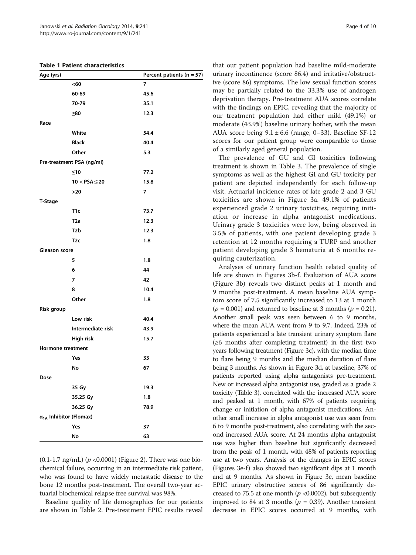<span id="page-3-0"></span>

| Age (yrs)         |                                  | Percent patients ( $n = 57$ ) |
|-------------------|----------------------------------|-------------------------------|
|                   | $60$                             | 7                             |
|                   | 60-69                            | 45.6                          |
|                   | 70-79                            | 35.1                          |
|                   | $\geq 80$                        | 12.3                          |
| Race              |                                  |                               |
|                   | White                            | 54.4                          |
|                   | <b>Black</b>                     | 40.4                          |
|                   | Other                            | 5.3                           |
|                   | Pre-treatment PSA (ng/ml)        |                               |
|                   | $≤10$                            | 77.2                          |
|                   | $10 < PSA \leq 20$               | 15.8                          |
|                   | >20                              | 7                             |
| T-Stage           |                                  |                               |
|                   | T1c                              | 73.7                          |
|                   | T <sub>2</sub> a                 | 12.3                          |
|                   | T <sub>2</sub> b                 | 12.3                          |
|                   | T <sub>2c</sub>                  | 1.8                           |
| Gleason score     |                                  |                               |
|                   | 5                                | 1.8                           |
|                   | 6                                | 44                            |
|                   | 7                                | 42                            |
|                   | 8                                | 10.4                          |
|                   | Other                            | 1.8                           |
| Risk group        |                                  |                               |
|                   | Low risk                         | 40.4                          |
|                   | Intermediate risk                | 43.9                          |
|                   | High risk                        | 15.7                          |
| Hormone treatment |                                  |                               |
|                   | Yes                              | 33                            |
|                   | No                               | 67                            |
| Dose              |                                  |                               |
|                   | 35 Gy                            | 19.3                          |
|                   | 35.25 Gy                         | 1.8                           |
|                   | 36.25 Gy                         | 78.9                          |
|                   | $\alpha_{1A}$ Inhibitor (Flomax) |                               |
|                   | Yes                              | 37                            |
|                   | No                               | 63                            |

 $(0.1-1.7 \text{ ng/mL})$  ( $p$  <0.0001) (Figure [2\)](#page-4-0). There was one biochemical failure, occurring in an intermediate risk patient, who was found to have widely metastatic disease to the bone 12 months post-treatment. The overall two-year actuarial biochemical relapse free survival was 98%.

Baseline quality of life demographics for our patients are shown in Table [2](#page-4-0). Pre-treatment EPIC results reveal

that our patient population had baseline mild-moderate urinary incontinence (score 86.4) and irritative/obstructive (score 86) symptoms. The low sexual function scores may be partially related to the 33.3% use of androgen deprivation therapy. Pre-treatment AUA scores correlate with the findings on EPIC, revealing that the majority of our treatment population had either mild (49.1%) or moderate (43.9%) baseline urinary bother, with the mean AUA score being  $9.1 \pm 6.6$  (range, 0–33). Baseline SF-12 scores for our patient group were comparable to those of a similarly aged general population.

The prevalence of GU and GI toxicities following treatment is shown in Table [3.](#page-5-0) The prevalence of single symptoms as well as the highest GI and GU toxicity per patient are depicted independently for each follow-up visit. Actuarial incidence rates of late grade 2 and 3 GU toxicities are shown in Figure [3a](#page-6-0). 49.1% of patients experienced grade 2 urinary toxicities, requiring initiation or increase in alpha antagonist medications. Urinary grade 3 toxicities were low, being observed in 3.5% of patients, with one patient developing grade 3 retention at 12 months requiring a TURP and another patient developing grade 3 hematuria at 6 months requiring cauterization.

Analyses of urinary function health related quality of life are shown in Figures [3](#page-6-0)b-f. Evaluation of AUA score (Figure [3](#page-6-0)b) reveals two distinct peaks at 1 month and 9 months post-treatment. A mean baseline AUA symptom score of 7.5 significantly increased to 13 at 1 month  $(p = 0.001)$  and returned to baseline at 3 months  $(p = 0.21)$ . Another small peak was seen between 6 to 9 months, where the mean AUA went from 9 to 9.7. Indeed, 23% of patients experienced a late transient urinary symptom flare (≥6 months after completing treatment) in the first two years following treatment (Figure [3](#page-6-0)c), with the median time to flare being 9 months and the median duration of flare being 3 months. As shown in Figure [3d](#page-6-0), at baseline, 37% of patients reported using alpha antagonists pre-treatment. New or increased alpha antagonist use, graded as a grade 2 toxicity (Table [3\)](#page-5-0), correlated with the increased AUA score and peaked at 1 month, with 67% of patients requiring change or initiation of alpha antagonist medications. Another small increase in alpha antagonist use was seen from 6 to 9 months post-treatment, also correlating with the second increased AUA score. At 24 months alpha antagonist use was higher than baseline but significantly decreased from the peak of 1 month, with 48% of patients reporting use at two years. Analysis of the changes in EPIC scores (Figures [3](#page-6-0)e-f) also showed two significant dips at 1 month and at 9 months. As shown in Figure [3e](#page-6-0), mean baseline EPIC urinary obstructive scores of 86 significantly decreased to 75.5 at one month ( $p$  <0.0002), but subsequently improved to 84 at 3 months ( $p = 0.39$ ). Another transient decrease in EPIC scores occurred at 9 months, with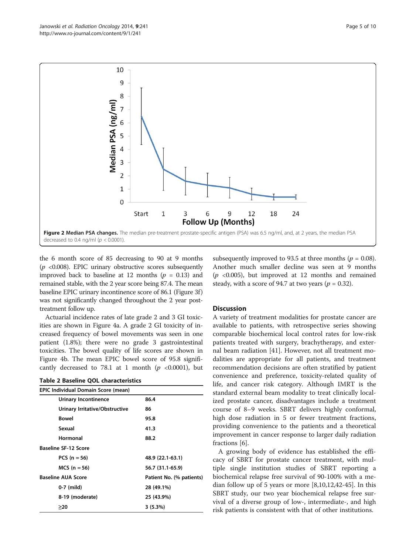<span id="page-4-0"></span>

the 6 month score of 85 decreasing to 90 at 9 months ( $p$  <0.008). EPIC urinary obstructive scores subsequently improved back to baseline at 12 months ( $p = 0.13$ ) and remained stable, with the 2 year score being 87.4. The mean baseline EPIC urinary incontinence score of 86.1 (Figure [3f](#page-6-0)) was not significantly changed throughout the 2 year posttreatment follow up.

Actuarial incidence rates of late grade 2 and 3 GI toxicities are shown in Figure [4a](#page-6-0). A grade 2 GI toxicity of increased frequency of bowel movements was seen in one patient (1.8%); there were no grade 3 gastrointestinal toxicities. The bowel quality of life scores are shown in Figure [4](#page-6-0)b. The mean EPIC bowel score of 95.8 significantly decreased to 78.1 at 1 month ( $p \le 0.0001$ ), but

| <b>EPIC Individual Domain Score (mean)</b> |                          |  |  |  |
|--------------------------------------------|--------------------------|--|--|--|
| Urinary Incontinence                       | 86.4                     |  |  |  |
| Urinary Irritative/Obstructive             | 86                       |  |  |  |
| <b>Bowel</b>                               | 95.8                     |  |  |  |
| Sexual                                     | 41.3                     |  |  |  |
| Hormonal                                   | 88.2                     |  |  |  |
| <b>Baseline SF-12 Score</b>                |                          |  |  |  |
| PCS ( $n = 56$ )                           | 48.9 (22.1-63.1)         |  |  |  |
| $MCS (n = 56)$                             | 56.7 (31.1-65.9)         |  |  |  |
| <b>Baseline AUA Score</b>                  | Patient No. (% patients) |  |  |  |
| 0-7 (mild)                                 | 28 (49.1%)               |  |  |  |
| 8-19 (moderate)                            | 25 (43.9%)               |  |  |  |
| >20                                        | $3(5.3\%)$               |  |  |  |

subsequently improved to 93.5 at three months ( $p = 0.08$ ). Another much smaller decline was seen at 9 months  $(p \lt 0.005)$ , but improved at 12 months and remained steady, with a score of 94.7 at two years ( $p = 0.32$ ).

#### **Discussion**

A variety of treatment modalities for prostate cancer are available to patients, with retrospective series showing comparable biochemical local control rates for low-risk patients treated with surgery, brachytherapy, and external beam radiation [[41\]](#page-8-0). However, not all treatment modalities are appropriate for all patients, and treatment recommendation decisions are often stratified by patient convenience and preference, toxicity-related quality of life, and cancer risk category. Although IMRT is the standard external beam modality to treat clinically localized prostate cancer, disadvantages include a treatment course of 8–9 weeks. SBRT delivers highly conformal, high dose radiation in 5 or fewer treatment fractions, providing convenience to the patients and a theoretical improvement in cancer response to larger daily radiation fractions [\[6](#page-8-0)].

A growing body of evidence has established the efficacy of SBRT for prostate cancer treatment, with multiple single institution studies of SBRT reporting a biochemical relapse free survival of 90-100% with a median follow up of 5 years or more [\[8,10,12](#page-8-0)[,42](#page-9-0)-[45\]](#page-9-0). In this SBRT study, our two year biochemical relapse free survival of a diverse group of low-, intermediate-, and high risk patients is consistent with that of other institutions.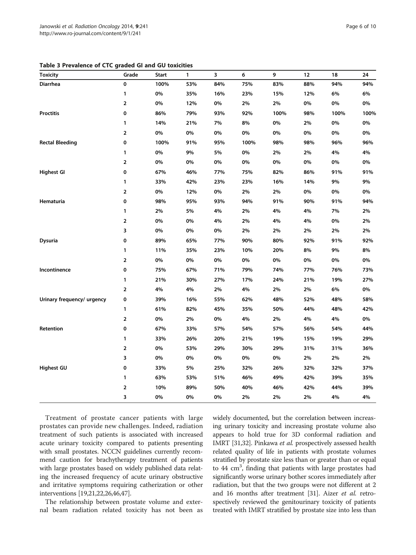<span id="page-5-0"></span>

| Table 3 Prevalence of CTC graded GI and GU toxicities |  |  |  |
|-------------------------------------------------------|--|--|--|
|-------------------------------------------------------|--|--|--|

| <b>Toxicity</b>            | Grade                   | Start | 1   | 3   | 6    | 9    | 12  | 18   | 24   |
|----------------------------|-------------------------|-------|-----|-----|------|------|-----|------|------|
| Diarrhea                   | 0                       | 100%  | 53% | 84% | 75%  | 83%  | 88% | 94%  | 94%  |
|                            | 1                       | 0%    | 35% | 16% | 23%  | 15%  | 12% | 6%   | 6%   |
|                            | $\overline{\mathbf{2}}$ | 0%    | 12% | 0%  | 2%   | 2%   | 0%  | 0%   | 0%   |
| <b>Proctitis</b>           | 0                       | 86%   | 79% | 93% | 92%  | 100% | 98% | 100% | 100% |
|                            | 1                       | 14%   | 21% | 7%  | 8%   | 0%   | 2%  | 0%   | 0%   |
|                            | 2                       | 0%    | 0%  | 0%  | 0%   | 0%   | 0%  | 0%   | 0%   |
| <b>Rectal Bleeding</b>     | 0                       | 100%  | 91% | 95% | 100% | 98%  | 98% | 96%  | 96%  |
|                            | 1                       | 0%    | 9%  | 5%  | 0%   | 2%   | 2%  | 4%   | 4%   |
|                            | $\overline{\mathbf{2}}$ | 0%    | 0%  | 0%  | 0%   | 0%   | 0%  | 0%   | 0%   |
| <b>Highest GI</b>          | 0                       | 67%   | 46% | 77% | 75%  | 82%  | 86% | 91%  | 91%  |
|                            | 1                       | 33%   | 42% | 23% | 23%  | 16%  | 14% | 9%   | 9%   |
|                            | 2                       | 0%    | 12% | 0%  | 2%   | 2%   | 0%  | 0%   | 0%   |
| Hematuria                  | 0                       | 98%   | 95% | 93% | 94%  | 91%  | 90% | 91%  | 94%  |
|                            | 1                       | 2%    | 5%  | 4%  | 2%   | 4%   | 4%  | 7%   | 2%   |
|                            | 2                       | 0%    | 0%  | 4%  | 2%   | 4%   | 4%  | 0%   | 2%   |
|                            | 3                       | 0%    | 0%  | 0%  | 2%   | 2%   | 2%  | 2%   | 2%   |
| <b>Dysuria</b>             | 0                       | 89%   | 65% | 77% | 90%  | 80%  | 92% | 91%  | 92%  |
|                            | 1                       | 11%   | 35% | 23% | 10%  | 20%  | 8%  | 9%   | 8%   |
|                            | $\overline{\mathbf{2}}$ | 0%    | 0%  | 0%  | 0%   | 0%   | 0%  | 0%   | 0%   |
| Incontinence               | 0                       | 75%   | 67% | 71% | 79%  | 74%  | 77% | 76%  | 73%  |
|                            | 1                       | 21%   | 30% | 27% | 17%  | 24%  | 21% | 19%  | 27%  |
|                            | 2                       | 4%    | 4%  | 2%  | 4%   | 2%   | 2%  | 6%   | 0%   |
| Urinary frequency/ urgency | 0                       | 39%   | 16% | 55% | 62%  | 48%  | 52% | 48%  | 58%  |
|                            | 1                       | 61%   | 82% | 45% | 35%  | 50%  | 44% | 48%  | 42%  |
|                            | $\overline{\mathbf{2}}$ | 0%    | 2%  | 0%  | 4%   | 2%   | 4%  | 4%   | 0%   |
| Retention                  | 0                       | 67%   | 33% | 57% | 54%  | 57%  | 56% | 54%  | 44%  |
|                            | 1                       | 33%   | 26% | 20% | 21%  | 19%  | 15% | 19%  | 29%  |
|                            | 2                       | 0%    | 53% | 29% | 30%  | 29%  | 31% | 31%  | 36%  |
|                            | 3                       | 0%    | 0%  | 0%  | 0%   | 0%   | 2%  | 2%   | 2%   |
| <b>Highest GU</b>          | 0                       | 33%   | 5%  | 25% | 32%  | 26%  | 32% | 32%  | 37%  |
|                            | 1                       | 63%   | 53% | 51% | 46%  | 49%  | 42% | 39%  | 35%  |
|                            | $\overline{\mathbf{2}}$ | 10%   | 89% | 50% | 40%  | 46%  | 42% | 44%  | 39%  |
|                            | 3                       | 0%    | 0%  | 0%  | 2%   | 2%   | 2%  | 4%   | 4%   |

Treatment of prostate cancer patients with large prostates can provide new challenges. Indeed, radiation treatment of such patients is associated with increased acute urinary toxicity compared to patients presenting with small prostates. NCCN guidelines currently recommend caution for brachytherapy treatment of patients with large prostates based on widely published data relating the increased frequency of acute urinary obstructive and irritative symptoms requiring catherization or other interventions [\[19,21,22,26,](#page-8-0)[46,47\]](#page-9-0).

The relationship between prostate volume and external beam radiation related toxicity has not been as

widely documented, but the correlation between increasing urinary toxicity and increasing prostate volume also appears to hold true for 3D conformal radiation and IMRT [\[31,32](#page-8-0)]. Pinkawa et al. prospectively assessed health related quality of life in patients with prostate volumes stratified by prostate size less than or greater than or equal to 44 cm<sup>3</sup>, finding that patients with large prostates had significantly worse urinary bother scores immediately after radiation, but that the two groups were not different at 2 and 16 months after treatment [\[31\]](#page-8-0). Aizer *et al.* retrospectively reviewed the genitourinary toxicity of patients treated with IMRT stratified by prostate size into less than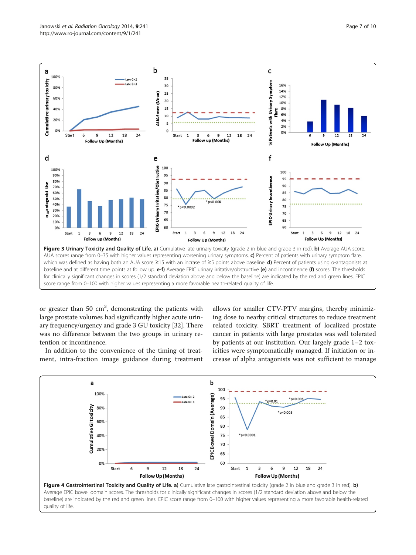<span id="page-6-0"></span>

or greater than 50 cm<sup>3</sup>, demonstrating the patients with large prostate volumes had significantly higher acute urinary frequency/urgency and grade 3 GU toxicity [\[32](#page-8-0)]. There was no difference between the two groups in urinary retention or incontinence.

In addition to the convenience of the timing of treatment, intra-fraction image guidance during treatment allows for smaller CTV-PTV margins, thereby minimizing dose to nearby critical structures to reduce treatment related toxicity. SBRT treatment of localized prostate cancer in patients with large prostates was well tolerated by patients at our institution. Our largely grade 1–2 toxicities were symptomatically managed. If initiation or increase of alpha antagonists was not sufficient to manage

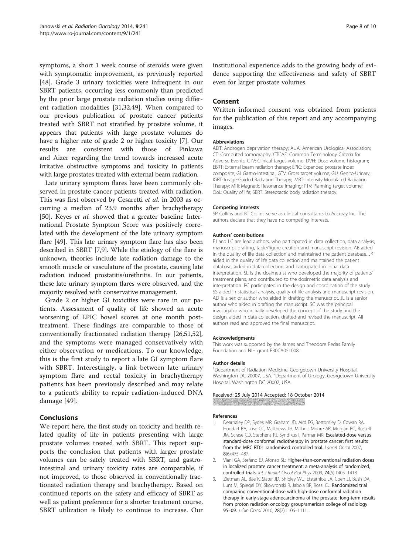<span id="page-7-0"></span>symptoms, a short 1 week course of steroids were given with symptomatic improvement, as previously reported [[48\]](#page-9-0). Grade 3 urinary toxicities were infrequent in our SBRT patients, occurring less commonly than predicted by the prior large prostate radiation studies using different radiation modalities [\[31,32](#page-8-0)[,49](#page-9-0)]. When compared to our previous publication of prostate cancer patients treated with SBRT not stratified by prostate volume, it appears that patients with large prostate volumes do have a higher rate of grade 2 or higher toxicity [\[7\]](#page-8-0). Our results are consistent with those of Pinkawa and Aizer regarding the trend towards increased acute irritative obstructive symptoms and toxicity in patients with large prostates treated with external beam radiation.

Late urinary symptom flares have been commonly observed in prostate cancer patients treated with radiation. This was first observed by Cesaretti et al. in 2003 as occurring a median of 23.9 months after brachytherapy [[50\]](#page-9-0). Keyes et al. showed that a greater baseline International Prostate Symptom Score was positively correlated with the development of the late urinary symptom flare [\[49\]](#page-9-0). This late urinary symptom flare has also been described in SBRT [\[7,9](#page-8-0)]. While the etiology of the flare is unknown, theories include late radiation damage to the smooth muscle or vasculature of the prostate, causing late radiation induced prostatitis/urethritis. In our patients, these late urinary symptom flares were observed, and the majority resolved with conservative management.

Grade 2 or higher GI toxicities were rare in our patients. Assessment of quality of life showed an acute worsening of EPIC bowel scores at one month posttreatment. These findings are comparable to those of conventionally fractionated radiation therapy [\[26](#page-8-0)[,51,52](#page-9-0)], and the symptoms were managed conservatively with either observation or medications. To our knowledge, this is the first study to report a late GI symptom flare with SBRT. Interestingly, a link between late urinary symptom flare and rectal toxicity in brachytherapy patients has been previously described and may relate to a patient's ability to repair radiation-induced DNA damage [\[49\]](#page-9-0).

# **Conclusions**

We report here, the first study on toxicity and health related quality of life in patients presenting with large prostate volumes treated with SBRT. This report supports the conclusion that patients with larger prostate volumes can be safely treated with SBRT, and gastrointestinal and urinary toxicity rates are comparable, if not improved, to those observed in conventionally fractionated radiation therapy and brachytherapy. Based on continued reports on the safety and efficacy of SBRT as well as patient preference for a shorter treatment course, SBRT utilization is likely to continue to increase. Our

institutional experience adds to the growing body of evidence supporting the effectiveness and safety of SBRT even for larger prostate volumes.

### Consent

Written informed consent was obtained from patients for the publication of this report and any accompanying images.

#### Abbreviations

ADT: Androgen deprivation therapy; AUA: American Urological Association; CT: Computed tomography; CTCAE: Common Terminology Criteria for Adverse Events; CTV: Clinical target volume; DVH: Dose-volume histogram; EBRT: External beam radiation therapy; EPIC: Expanded prostate index composite; GI: Gastro-Intestinal; GTV: Gross target volume; GU: Genito-Urinary; IGRT: Image-Guided Radiation Therapy; IMRT: Intensity Modulated Radiation Therapy; MRI: Magnetic Resonance Imaging; PTV: Planning target volume; QoL: Quality of life; SBRT: Stereotactic body radiation therapy.

#### Competing interests

SP Collins and BT Collins serve as clinical consultants to Accuray Inc. The authors declare that they have no competing interests.

#### Authors' contributions

EJ and LC are lead authors, who participated in data collection, data analysis, manuscript drafting, table/figure creation and manuscript revision. AB aided in the quality of life data collection and maintained the patient database. JK aided in the quality of life data collection and maintained the patient database, aided in data collection, and participated in initial data interpretation. SL is the dosimetrist who developed the majority of patients' treatment plans, and contributed to the dosimetric data analysis and interpretation. BC participated in the design and coordination of the study. SS aided in statistical analysis, quality of life analysis and manuscript revision. AD is a senior author who aided in drafting the manuscript. JL is a senior author who aided in drafting the manuscript. SC was the principal investigator who initially developed the concept of the study and the design, aided in data collection, drafted and revised the manuscript. All authors read and approved the final manuscript.

#### Acknowledgments

This work was supported by the James and Theodore Pedas Family Foundation and NIH grant P30CA051008.

#### Author details

<sup>1</sup>Department of Radiation Medicine, Georgetown University Hospital Washington DC 20007, USA. <sup>2</sup>Department of Urology, Georgetown University Hospital, Washington DC 20007, USA.

# Received: 25 July 2014 Accepted: 18 October 2014

# References

- 1. Dearnaley DP, Sydes MR, Graham JD, Aird EG, Bottomley D, Cowan RA, Huddart RA, Jose CC, Matthews JH, Millar J, Moore AR, Morgan RC, Russell JM, Scrase CD, Stephens RJ, Syndikus I, Parmar MK: Escalated-dose versus standard-dose conformal radiotherapy in prostate cancer: first results from the MRC RT01 randomised controlled trial. Lancet Oncol 2007, 8(6):475–487.
- Viani GA, Stefano EJ, Afonso SL: Higher-than-conventional radiation doses in localized prostate cancer treatment: a meta-analysis of randomized, controlled trials. Int J Radiat Oncol Biol Phys 2009, 74(5):1405–1418.
- 3. Zietman AL, Bae K, Slater JD, Shipley WU, Efstathiou JA, Coen JJ, Bush DA, Lunt M, Spiegel DY, Skowronski R, Jabola BR, Rossi CJ: Randomized trial comparing conventional-dose with high-dose conformal radiation therapy in early-stage adenocarcinoma of the prostate: long-term results from proton radiation oncology group/american college of radiology 95–09. J Clin Oncol 2010, 28(7):1106–1111.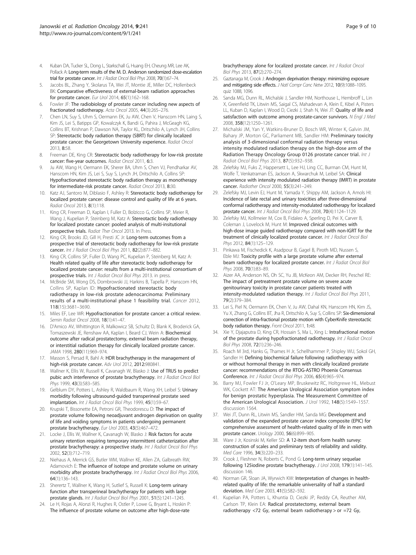- <span id="page-8-0"></span>4. Kuban DA, Tucker SL, Dong L, Starkschall G, Huang EH, Cheung MR, Lee AK, Pollack A: Long-term results of the M. D. Anderson randomized dose-escalation trial for prostate cancer. Int J Radiat Oncol Biol Phys 2008, 70(1):67-74.
- Jacobs BL, Zhang Y, Skolarus TA, Wei JT, Montie JE, Miller DC, Hollenbeck BK: Comparative effectiveness of external-beam radiation approaches for prostate cancer. Eur Urol 2014, 65(1):162–168.
- 6. Fowler JF: The radiobiology of prostate cancer including new aspects of fractionated radiotherapy. Acta Oncol 2005, 44(3):265–276.
- 7. Chen LN, Suy S, Uhm S, Oermann EK, Ju AW, Chen V, Hanscom HN, Laing S, Kim JS, Lei S, Batipps GP, Kowalczyk K, Bandi G, Pahira J, McGeagh KG, Collins BT, Krishnan P, Dawson NA, Taylor KL, Dritschilo A, Lynch JH, Collins SP: Stereotactic body radiation therapy (SBRT) for clinically localized prostate cancer: the Georgetown University experience. Radiat Oncol  $2013, 8.58$
- 8. Freeman DE, King CR: Stereotactic body radiotherapy for low-risk prostate cancer: five-year outcomes. Radiat Oncol 2011, 6:3.
- 9. Ju AW, Wang H, Oermann EK, Sherer BA, Uhm S, Chen VJ, Pendharkar AV, Hanscom HN, Kim JS, Lei S, Suy S, Lynch JH, Dritschilo A, Collins SP: Hypofractionated stereotactic body radiation therapy as monotherapy for intermediate-risk prostate cancer. Radiat Oncol 2013, 8:30.
- 10. Katz AJ, Santoro M, Diblasio F, Ashley R: Stereotactic body radiotherapy for localized prostate cancer: disease control and quality of life at 6 years. Radiat Oncol 2013, 8(1):118.
- 11. King CR, Freeman D, Kaplan I, Fuller D, Bolzicco G, Collins SP, Meier R, Wang J, Kupelian P, Steinberg M, Katz A: Stereotactic body radiotherapy for localized prostate cancer: pooled analysis of multi-insitutional prospective trials. Radiat Ther Oncol 2013. In Press.
- 12. King CR, Brooks JD, Gill H, Presti JC Jr: Long-term outcomes from a prospective trial of stereotactic body radiotherapy for low-risk prostate cancer. Int J Radiat Oncol Biol Phys 2011, 82(2):877-882.
- 13. King CR, Collins SP, Fuller D, Wang PC, Kupelian P, Steinberg M, Katz A: Health related quality of life after stereotactic body radiotherapy for localized prostate cancer: results from a multi-institutional consortium of prospective trials. Int J Radiat Oncol Biol Phys 2013. in press.
- 14. McBride SM, Wong DS, Dombrowski JJ, Harkins B, Tapella P, Hanscom HN, Collins SP, Kaplan ID: Hypofractionated stereotactic body radiotherapy in low-risk prostate adenocarcinoma: Preliminary results of a multi-institutional phase 1 feasibility trial. Cancer 2012, 118(15):3681–3690.
- 15. Miles EF, Lee WR: Hypofractionation for prostate cancer: a critical review. Semin Radiat Oncol 2008, 18(1):41–47.
- 16. D'Amico AV, Whittington R, Malkowicz SB, Schultz D, Blank K, Broderick GA, Tomaszewski JE, Renshaw AA, Kaplan I, Beard CJ, Wein A: Biochemical outcome after radical prostatectomy, external beam radiation therapy, or interstitial radiation therapy for clinically localized prostate cancer. JAMA 1998, 280(11):969-974.
- 17. Masson S, Persad R, Bahl A: HDR brachytherapy in the management of high-risk prostate cancer. Adv Urol 2012, 2012:980841.
- 18. Wallner K, Ellis W, Russell K, Cavanagh W, Blasko J: Use of TRUS to predict pubic arch interference of prostate brachytherapy. Int J Radiat Oncol Biol Phys 1999, 43(3):583-585.
- 19. Gelblum DY, Potters L, Ashley R, Waldbaum R, Wang XH, Leibel S: Urinary morbidity following ultrasound-guided transperineal prostate seed implantation. Int J Radiat Oncol Biol Phys 1999, 45(1):59-67.
- 20. Krupski T, Bissonette EA, Petroni GR, Theodorescu D: The impact of prostate volume following neoadjuvant androgen deprivation on quality of life and voiding symptoms in patients undergoing permanent prostate brachytherapy. Eur Urol 2003, 43(5):467–472.
- 21. Locke J, Ellis W, Wallner K, Cavanagh W, Blasko J: Risk factors for acute urinary retention requiring temporary intermittent catheterization after prostate brachytherapy: a prospective study. Int J Radiat Oncol Biol Phys 2002, 52(3):712–719.
- 22. Niehaus A, Merrick GS, Butler WM, Wallner KE, Allen ZA, Galbreath RW, Adamovich E: The influence of isotope and prostate volume on urinary morbidity after prostate brachytherapy. Int J Radiat Oncol Biol Phys 2006, 64(1):136–143.
- 23. Sherertz T, Wallner K, Wang H, Sutlief S, Russell K: Long-term urinary function after transperineal brachytherapy for patients with large prostate glands. Int J Radiat Oncol Biol Phys 2001, 51(5):1241–1245.
- 24. Le H, Rojas A, Alonzi R, Hughes R, Ostler P, Lowe G, Bryant L, Hoskin P: The influence of prostate volume on outcome after high-dose-rate

brachytherapy alone for localized prostate cancer. Int J Radiat Oncol Biol Phys 2013, 87(2):270–274.

- 25. Gaztanaga M, Crook J: Androgen deprivation therapy: minimizing exposure and mitigating side effects. J Natl Compr Canc Netw 2012, 10(9):1088-1095. quiz 1088, 1096.
- 26. Sanda MG, Dunn RL, Michalski J, Sandler HM, Northouse L, Hembroff L, Lin X, Greenfield TK, Litwin MS, Saigal CS, Mahadevan A, Klein E, Kibel A, Pisters LL, Kuban D, Kaplan I, Wood D, Ciezki J, Shah N, Wei JT: Quality of life and satisfaction with outcome among prostate-cancer survivors. N Engl J Med 2008, 358(12):1250–1261.
- 27. Michalski JM, Yan Y, Watkins-Bruner D, Bosch WR, Winter K, Galvin JM, Bahary JP, Morton GC, Parliament MB, Sandler HM: Preliminary toxicity analysis of 3-dimensional conformal radiation therapy versus intensity modulated radiation therapy on the high-dose arm of the Radiation Therapy Oncology Group 0126 prostate cancer trial. Int J Radiat Oncol Biol Phys 2013, 87(5):932–938.
- 28. Zelefsky MJ, Fuks Z, Happersett L, Lee HJ, Ling CC, Burman CM, Hunt M, Wolfe T, Venkatraman ES, Jackson A, Skwarchuk M, Leibel SA: Clinical experience with intensity modulated radiation therapy (IMRT) in prostate cancer. Radiother Oncol 2000, 55(3):241–249.
- 29. Zelefsky MJ, Levin EJ, Hunt M, Yamada Y, Shippy AM, Jackson A, Amols HI: Incidence of late rectal and urinary toxicities after three-dimensional conformal radiotherapy and intensity-modulated radiotherapy for localized prostate cancer. Int J Radiat Oncol Biol Phys 2008, 70(4):1124-1129.
- 30. Zelefsky MJ, Kollmeier M, Cox B, Fidaleo A, Sperling D, Pei X, Carver B, Coleman J, Lovelock M, Hunt M: Improved clinical outcomes with high-dose image guided radiotherapy compared with non-IGRT for the treatment of clinically localized prostate cancer. Int J Radiat Oncol Biol Phys 2012, 84(1):125-129.
- 31. Pinkawa M, Fischedick K, Asadpour B, Gagel B, Piroth MD, Nussen S, Eble MJ: Toxicity profile with a large prostate volume after external beam radiotherapy for localized prostate cancer. Int J Radiat Oncol Biol Phys 2008, 70(1):83–89.
- 32. Aizer AA, Anderson NS, Oh SC, Yu JB, McKeon AM, Decker RH, Peschel RE: The impact of pretreatment prostate volume on severe acute genitourinary toxicity in prostate cancer patients treated with intensity-modulated radiation therapy. Int J Radiat Oncol Biol Phys 2011, 79(2):379–384.
- 33. Lei S, Piel N, Oermann EK, Chen V, Ju AW, Dahal KN, Hanscom HN, Kim JS, Yu X, Zhang G, Collins BT, Jha R, Dritschilo A, Suy S, Collins SP: Six-dimensional correction of intra-fractional prostate motion with CyberKnife stereotactic body radiation therapy. Front Oncol 2011, 1:48.
- 34. Xie Y, Djajaputra D, King CR, Hossain S, Ma L, Xing L: Intrafractional motion of the prostate during hypofractionated radiotherapy. Int J Radiat Oncol Biol Phys 2008, 72(1):236–246.
- 35. Roach M 3rd, Hanks G, Thames H Jr, Schellhammer P, Shipley WU, Sokol GH, Sandler H: Defining biochemical failure following radiotherapy with or without hormonal therapy in men with clinically localized prostate cancer: recommendations of the RTOG-ASTRO Phoenix Consensus Conference. Int J Radiat Oncol Biol Phys 2006, 65(4):965–974.
- 36. Barry MJ, Fowler FJ Jr, O'Leary MP, Bruskewitz RC, Holtgrewe HL, Mebust WK, Cockett AT: The American Urological Association symptom index for benign prostatic hyperplasia. The Measurement Committee of the American Urological Association. J Urol 1992, 148(5):1549-1557. discussion 1564.
- 37. Wei JT, Dunn RL, Litwin MS, Sandler HM, Sanda MG: Development and validation of the expanded prostate cancer index composite (EPIC) for comprehensive assessment of health-related quality of life in men with prostate cancer. Urology 2000, 56(6):899–905.
- Ware J Jr, Kosinski M, Keller SD: A 12-item short-form health survey: construction of scales and preliminary tests of reliability and validity. Med Care 1996, 34(3):220–233.
- 39. Crook J, Fleshner N, Roberts C, Pond G: Long-term urinary sequelae following 125iodine prostate brachytherapy. J Urol 2008, 179(1):141–145. discussion 146.
- 40. Norman GR, Sloan JA, Wyrwich KW: Interpretation of changes in healthrelated quality of life: the remarkable universality of half a standard deviation. Med Care 2003, 41(5):582–592.
- 41. Kupelian PA, Potters L, Khuntia D, Ciezki JP, Reddy CA, Reuther AM, Carlson TP, Klein EA: Radical prostatectomy, external beam radiotherapy <72 Gy, external beam radiotherapy > or =72 Gy,